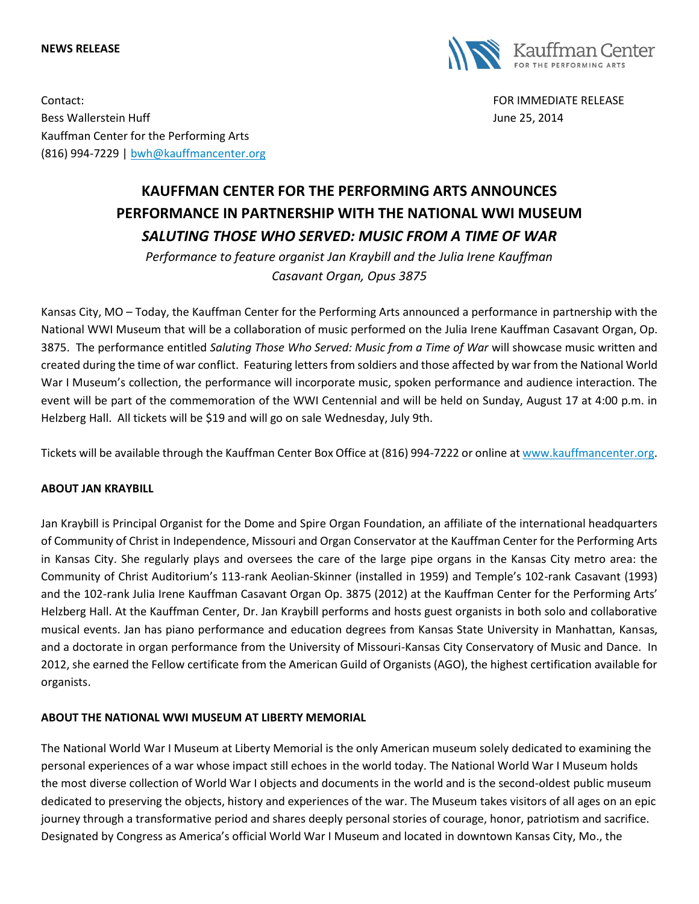#### **NEWS RELEASE**



Contact: FOR IMMEDIATE RELEASE Bess Wallerstein Huff **State Australian Executive Controllers** and the United States of the United States of the United States and the United States of the United States and the United States and the United States and the Kauffman Center for the Performing Arts (816) 994-7229 | [bwh@kauffmancenter.org](mailto:bwh@kauffmancenter.org)

# **KAUFFMAN CENTER FOR THE PERFORMING ARTS ANNOUNCES PERFORMANCE IN PARTNERSHIP WITH THE NATIONAL WWI MUSEUM** *SALUTING THOSE WHO SERVED: MUSIC FROM A TIME OF WAR*

*Performance to feature organist Jan Kraybill and the Julia Irene Kauffman Casavant Organ, Opus 3875*

Kansas City, MO – Today, the Kauffman Center for the Performing Arts announced a performance in partnership with the National WWI Museum that will be a collaboration of music performed on the Julia Irene Kauffman Casavant Organ, Op. 3875. The performance entitled *Saluting Those Who Served: Music from a Time of War* will showcase music written and created during the time of war conflict. Featuring letters from soldiers and those affected by war from the National World War I Museum's collection, the performance will incorporate music, spoken performance and audience interaction. The event will be part of the commemoration of the WWI Centennial and will be held on Sunday, August 17 at 4:00 p.m. in Helzberg Hall. All tickets will be \$19 and will go on sale Wednesday, July 9th.

Tickets will be available through the Kauffman Center Box Office at (816) 994-7222 or online at [www.kauffmancenter.org.](http://www.kauffmancenter.org/)

### **ABOUT JAN KRAYBILL**

Jan Kraybill is Principal Organist for the Dome and Spire Organ Foundation, an affiliate of the international headquarters of Community of Christ in Independence, Missouri and Organ Conservator at the Kauffman Center for the Performing Arts in Kansas City. She regularly plays and oversees the care of the large pipe organs in the Kansas City metro area: the Community of Christ Auditorium's 113-rank Aeolian-Skinner (installed in 1959) and Temple's 102-rank Casavant (1993) and the 102-rank Julia Irene Kauffman Casavant Organ Op. 3875 (2012) at the Kauffman Center for the Performing Arts' Helzberg Hall. At the Kauffman Center, Dr. Jan Kraybill performs and hosts guest organists in both solo and collaborative musical events. Jan has piano performance and education degrees from Kansas State University in Manhattan, Kansas, and a doctorate in organ performance from the University of Missouri-Kansas City Conservatory of Music and Dance. In 2012, she earned the Fellow certificate from the American Guild of Organists (AGO), the highest certification available for organists.

### **ABOUT THE NATIONAL WWI MUSEUM AT LIBERTY MEMORIAL**

The National World War I Museum at Liberty Memorial is the only American museum solely dedicated to examining the personal experiences of a war whose impact still echoes in the world today. The National World War I Museum holds the most diverse collection of World War I objects and documents in the world and is the second-oldest public museum dedicated to preserving the objects, history and experiences of the war. The Museum takes visitors of all ages on an epic journey through a transformative period and shares deeply personal stories of courage, honor, patriotism and sacrifice. Designated by Congress as America's official World War I Museum and located in downtown Kansas City, Mo., the